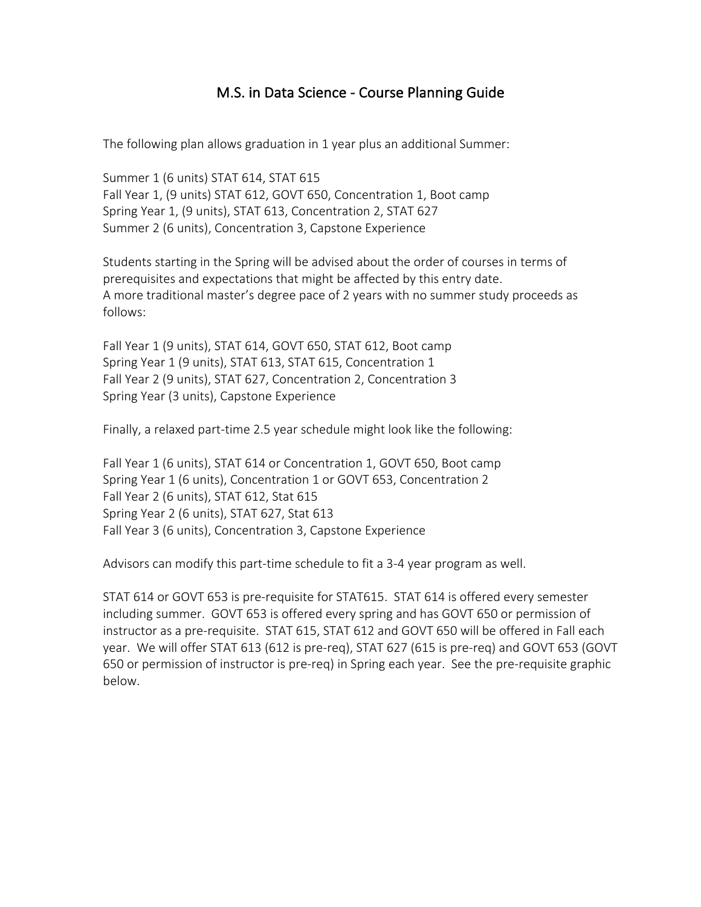## M.S. in Data Science - Course Planning Guide

The following plan allows graduation in 1 year plus an additional Summer:

Summer 1 (6 units) STAT 614, STAT 615 Fall Year 1, (9 units) STAT 612, GOVT 650, Concentration 1, Boot camp Spring Year 1, (9 units), STAT 613, Concentration 2, STAT 627 Summer 2 (6 units), Concentration 3, Capstone Experience

Students starting in the Spring will be advised about the order of courses in terms of prerequisites and expectations that might be affected by this entry date. A more traditional master's degree pace of 2 years with no summer study proceeds as follows:

Fall Year 1 (9 units), STAT 614, GOVT 650, STAT 612, Boot camp Spring Year 1 (9 units), STAT 613, STAT 615, Concentration 1 Fall Year 2 (9 units), STAT 627, Concentration 2, Concentration 3 Spring Year (3 units), Capstone Experience

Finally, a relaxed part-time 2.5 year schedule might look like the following:

Fall Year 1 (6 units), STAT 614 or Concentration 1, GOVT 650, Boot camp Spring Year 1 (6 units), Concentration 1 or GOVT 653, Concentration 2 Fall Year 2 (6 units), STAT 612, Stat 615 Spring Year 2 (6 units), STAT 627, Stat 613 Fall Year 3 (6 units), Concentration 3, Capstone Experience

Advisors can modify this part-time schedule to fit a 3-4 year program as well.

STAT 614 or GOVT 653 is pre-requisite for STAT615. STAT 614 is offered every semester including summer. GOVT 653 is offered every spring and has GOVT 650 or permission of instructor as a pre-requisite. STAT 615, STAT 612 and GOVT 650 will be offered in Fall each year. We will offer STAT 613 (612 is pre-req), STAT 627 (615 is pre-req) and GOVT 653 (GOVT 650 or permission of instructor is pre-req) in Spring each year. See the pre-requisite graphic below.